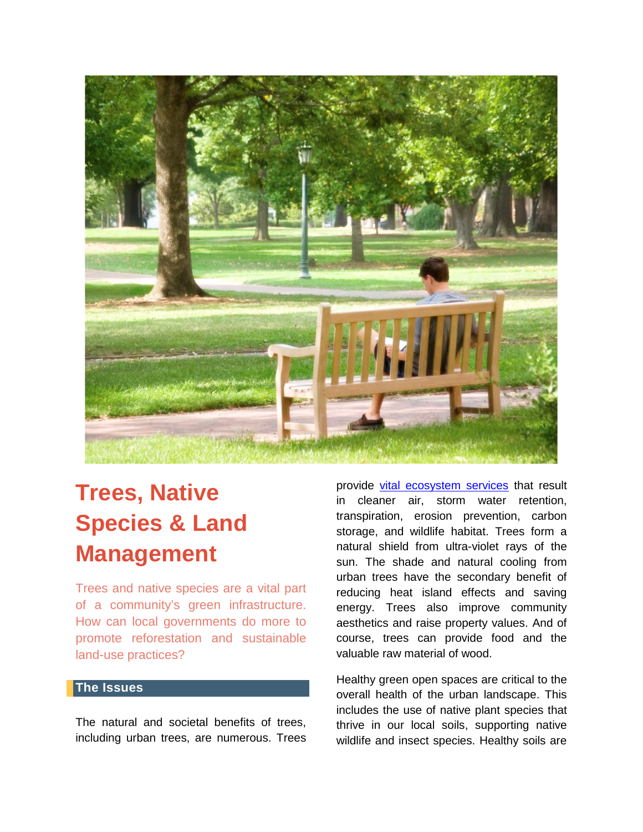

# **Trees, Native Species & Land Management**

Trees and native species are a vital part of a community's green infrastructure. How can local governments do more to promote reforestation and sustainable land-use practices?

### **The Issues**

The natural and societal benefits of trees, including urban trees, are numerous. Trees

provide [vital ecosystem services](https://www.fs.fed.us/psw/publications/mcpherson/psw_2016_mcpherson001_livesley.pdf) that result in cleaner air, storm water retention, transpiration, erosion prevention, carbon storage, and wildlife habitat. Trees form a natural shield from ultra-violet rays of the sun. The shade and natural cooling from urban trees have the secondary benefit of reducing heat island effects and saving energy. Trees also improve community aesthetics and raise property values. And of course, trees can provide food and the valuable raw material of wood.

Healthy green open spaces are critical to the overall health of the urban landscape. This includes the use of native plant species that thrive in our local soils, supporting native wildlife and insect species. Healthy soils are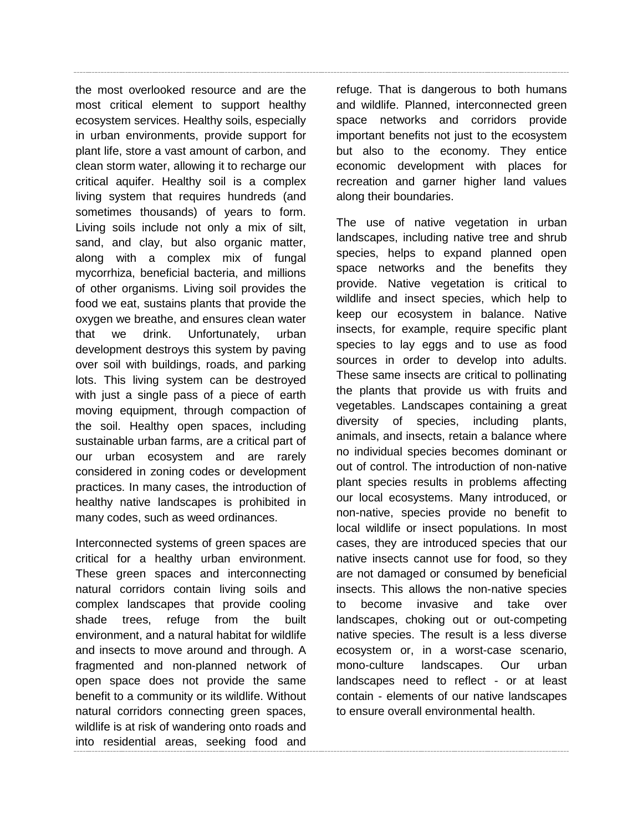the most overlooked resource and are the most critical element to support healthy ecosystem services. Healthy soils, especially in urban environments, provide support for plant life, store a vast amount of carbon, and clean storm water, allowing it to recharge our critical aquifer. Healthy soil is a complex living system that requires hundreds (and sometimes thousands) of years to form. Living soils include not only a mix of silt, sand, and clay, but also organic matter, along with a complex mix of fungal mycorrhiza, beneficial bacteria, and millions of other organisms. Living soil provides the food we eat, sustains plants that provide the oxygen we breathe, and ensures clean water that we drink. Unfortunately, urban development destroys this system by paving over soil with buildings, roads, and parking lots. This living system can be destroyed with just a single pass of a piece of earth moving equipment, through compaction of the soil. Healthy open spaces, including sustainable urban farms, are a critical part of our urban ecosystem and are rarely considered in zoning codes or development practices. In many cases, the introduction of healthy native landscapes is prohibited in many codes, such as weed ordinances.

Interconnected systems of green spaces are critical for a healthy urban environment. These green spaces and interconnecting natural corridors contain living soils and complex landscapes that provide cooling shade trees, refuge from the built environment, and a natural habitat for wildlife and insects to move around and through. A fragmented and non-planned network of open space does not provide the same benefit to a community or its wildlife. Without natural corridors connecting green spaces, wildlife is at risk of wandering onto roads and into residential areas, seeking food and refuge. That is dangerous to both humans and wildlife. Planned, interconnected green space networks and corridors provide important benefits not just to the ecosystem but also to the economy. They entice economic development with places for recreation and garner higher land values along their boundaries.

The use of native vegetation in urban landscapes, including native tree and shrub species, helps to expand planned open space networks and the benefits they provide. Native vegetation is critical to wildlife and insect species, which help to keep our ecosystem in balance. Native insects, for example, require specific plant species to lay eggs and to use as food sources in order to develop into adults. These same insects are critical to pollinating the plants that provide us with fruits and vegetables. Landscapes containing a great diversity of species, including plants, animals, and insects, retain a balance where no individual species becomes dominant or out of control. The introduction of non-native plant species results in problems affecting our local ecosystems. Many introduced, or non-native, species provide no benefit to local wildlife or insect populations. In most cases, they are introduced species that our native insects cannot use for food, so they are not damaged or consumed by beneficial insects. This allows the non-native species to become invasive and take over landscapes, choking out or out-competing native species. The result is a less diverse ecosystem or, in a worst-case scenario, mono-culture landscapes. Our urban landscapes need to reflect - or at least contain - elements of our native landscapes to ensure overall environmental health.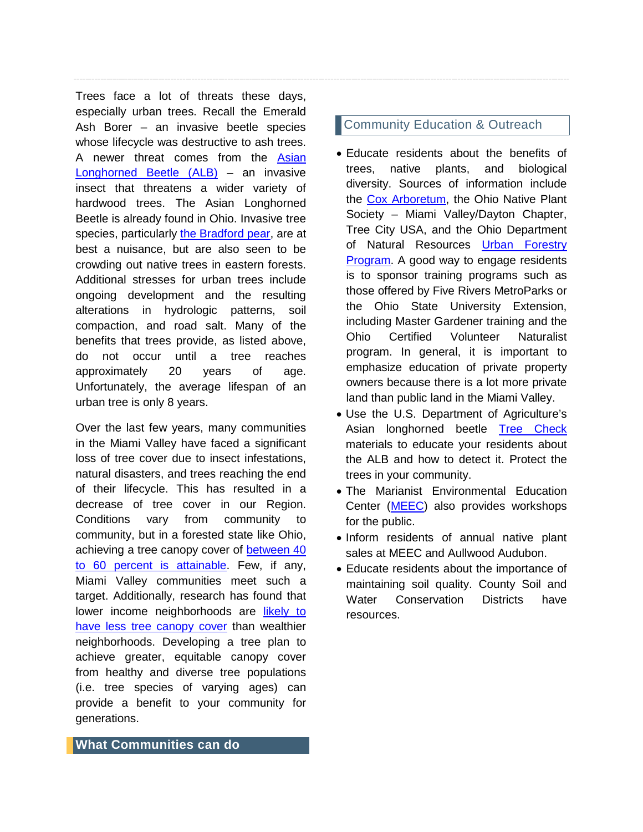Trees face a lot of threats these days, especially urban trees. Recall the Emerald Ash Borer – an invasive beetle species whose lifecycle was destructive to ash trees. A newer threat comes from the [Asian](https://www.aphis.usda.gov/aphis/resources/pests-diseases/hungry-pests/the-threat/asian-longhorned-beetle/asian-longhorned-beetle)  [Longhorned Beetle \(ALB\)](https://www.aphis.usda.gov/aphis/resources/pests-diseases/hungry-pests/the-threat/asian-longhorned-beetle/asian-longhorned-beetle) – an invasive insect that threatens a wider variety of hardwood trees. The Asian Longhorned Beetle is already found in Ohio. Invasive tree species, particularly [the Bradford pear,](https://www.citylab.com/environment/2019/07/bradford-callery-pear-trees-invasive-species-forests/593044/) are at best a nuisance, but are also seen to be crowding out native trees in eastern forests. Additional stresses for urban trees include ongoing development and the resulting alterations in hydrologic patterns, soil compaction, and road salt. Many of the benefits that trees provide, as listed above, do not occur until a tree reaches approximately 20 years of age. Unfortunately, the average lifespan of an urban tree is only 8 years.

Over the last few years, many communities in the Miami Valley have faced a significant loss of tree cover due to insect infestations, natural disasters, and trees reaching the end of their lifecycle. This has resulted in a decrease of tree cover in our Region. Conditions vary from community to community, but in a forested state like Ohio, achieving a tree canopy cover of [between 40](https://www.americanforests.org/blog/no-longer-recommend-40-percent-urban-tree-canopy-goal/)  [to 60 percent is attainable.](https://www.americanforests.org/blog/no-longer-recommend-40-percent-urban-tree-canopy-goal/) Few, if any, Miami Valley communities meet such a target. Additionally, research has found that lower income neighborhoods are [likely to](https://www.citylab.com/equity/2013/05/inequality-urban-tree-cover/5604/)  [have less tree canopy cover](https://www.citylab.com/equity/2013/05/inequality-urban-tree-cover/5604/) than wealthier neighborhoods. Developing a tree plan to achieve greater, equitable canopy cover from healthy and diverse tree populations (i.e. tree species of varying ages) can provide a benefit to your community for generations.

## **Community Education & Outreach**

- Educate residents about the benefits of trees, native plants, and biological diversity. Sources of information include the [Cox Arboretum,](https://www.metroparks.org/sustainability-center/) the Ohio Native Plant Society – Miami Valley/Dayton Chapter, Tree City USA, and the Ohio Department of Natural Resources [Urban Forestry](http://forestry.ohiodnr.gov/urbanforestrytoolbox)  [Program.](http://forestry.ohiodnr.gov/urbanforestrytoolbox) A good way to engage residents is to sponsor training programs such as those offered by Five Rivers MetroParks or the Ohio State University Extension, including Master Gardener training and the Ohio Certified Volunteer Naturalist program. In general, it is important to emphasize education of private property owners because there is a lot more private land than public land in the Miami Valley.
- Use the U.S. Department of Agriculture's Asian longhorned beetle [Tree Check](https://www.dontmovefirewood.org/free-downloads-for-tree-check-month-2019/) materials to educate your residents about the ALB and how to detect it. Protect the trees in your community.
- The Marianist Environmental Education Center [\(MEEC\)](https://meec.center/) also provides workshops for the public.
- Inform residents of annual native plant sales at MEEC and Aullwood Audubon.
- Educate residents about the importance of maintaining soil quality. County Soil and Water Conservation Districts have resources.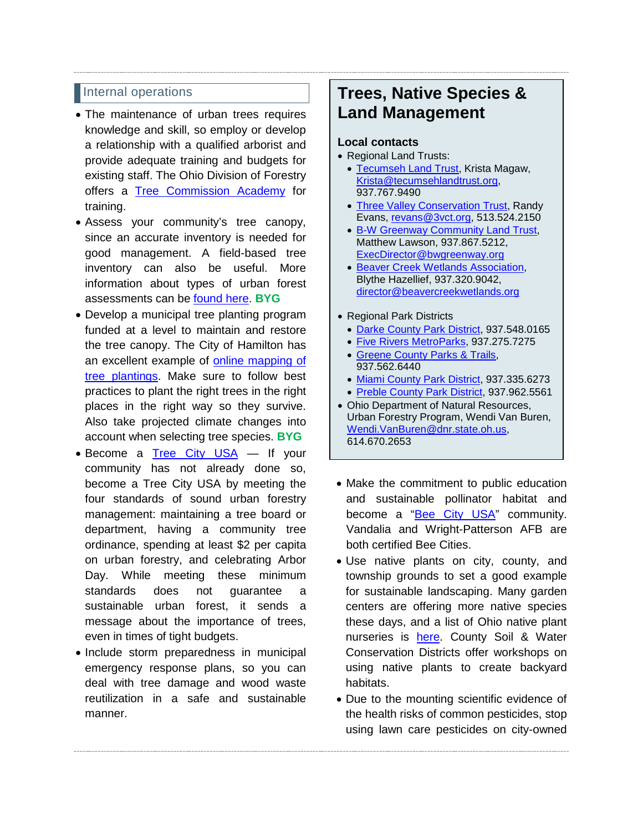#### Internal operations

- The maintenance of urban trees requires knowledge and skill, so employ or develop a relationship with a qualified arborist and provide adequate training and budgets for existing staff. The Ohio Division of Forestry offers a [Tree Commission Academy](http://forestry.ohiodnr.gov/tca) for training.
- Assess your community's tree canopy, since an accurate inventory is needed for good management. A field-based tree inventory can also be useful. More information about types of urban forest assessments can be found here. **BYG**
- Develop a municipal tree planting program funded at a level to maintain and restore the tree canopy. The City of Hamilton has an excellent example of [online mapping of](https://gis.hamilton-oh.gov/portal/apps/webappviewer/index.html?id=bd4e41b8644647909ae9e3ecb40b4b85)  [tree plantings.](https://gis.hamilton-oh.gov/portal/apps/webappviewer/index.html?id=bd4e41b8644647909ae9e3ecb40b4b85) Make sure to follow best practices to plant the right trees in the right places in the right way so they survive. Also take projected climate changes into account when selecting tree species. **BYG**
- Become a [Tree City USA](https://www.arborday.org/programs/treecityusa/index.cfm) If your community has not already done so, become a Tree City USA by meeting the four standards of sound urban forestry management: maintaining a tree board or department, having a community tree ordinance, spending at least \$2 per capita on urban forestry, and celebrating Arbor Day. While meeting these minimum standards does not guarantee a sustainable urban forest, it sends a message about the importance of trees, even in times of tight budgets.
- Include storm preparedness in municipal emergency response plans, so you can deal with tree damage and wood waste reutilization in a safe and sustainable manner.

# **Trees, Native Species & Land Management**

#### **Local contacts**

- Regional Land Trusts:
	- [Tecumseh Land Trust,](http://tecumsehlandtrust.org/) Krista Magaw, [Krista@tecumsehlandtrust.org,](mailto:Krista@tecumsehlandtrust.org) 937.767.9490
	- [Three Valley Conservation Trust,](https://www.3vct.org/) Randy Evans, [revans@3vct.org,](mailto:revans@3vct.org) 513.524.2150
	- [B-W Greenway Community Land Trust,](https://www.bwgreenway.org/) Matthew Lawson, 937.867.5212, [ExecDirector@bwgreenway.org](mailto:ExecDirector@bwgreenway.org)
	- [Beaver Creek Wetlands Association,](http://www.beavercreekwetlands.org/index.html) Blythe Hazellief, 937.320.9042, [director@beavercreekwetlands.org](mailto:director@beavercreekwetlands.org)

#### • Regional Park Districts

- [Darke County Park District,](http://www.darkecountyparks.org/) 937.548.0165
- Five [Rivers MetroParks,](https://www.metroparks.org/) 937.275.7275
- [Greene County Parks & Trails,](https://www.gcparkstrails.com/) 937.562.6440
- [Miami County Park District,](https://www.miamicountyparks.com/) 937.335.6273
- [Preble County Park District,](https://www.preblecountyparkdistrict.org/index.html) 937.962.5561
- Ohio Department of Natural Resources, Urban Forestry Program, Wendi Van Buren, [Wendi.VanBuren@dnr.state.oh.us,](mailto:Wendi.VanBuren@dnr.state.oh.us) 614.670.2653
- Make the commitment to public education and sustainable pollinator habitat and become a ["Bee City USA"](https://www.beecityusa.org/what-is-a-bee-city.html) community. Vandalia and Wright-Patterson AFB are both certified Bee Cities.
- Use native plants on city, county, and township grounds to set a good example for sustainable landscaping. Many garden centers are offering more native species these days, and a list of Ohio native plant nurseries is [here.](http://ohiodnr.gov/portals/0/pdfs/invasives/Ohio_Native_Plant_Nurseries_2008.pdf) County Soil & Water Conservation Districts offer workshops on using native plants to create backyard habitats.
- Due to the mounting scientific evidence of the health risks of common pesticides, stop using lawn care pesticides on city-owned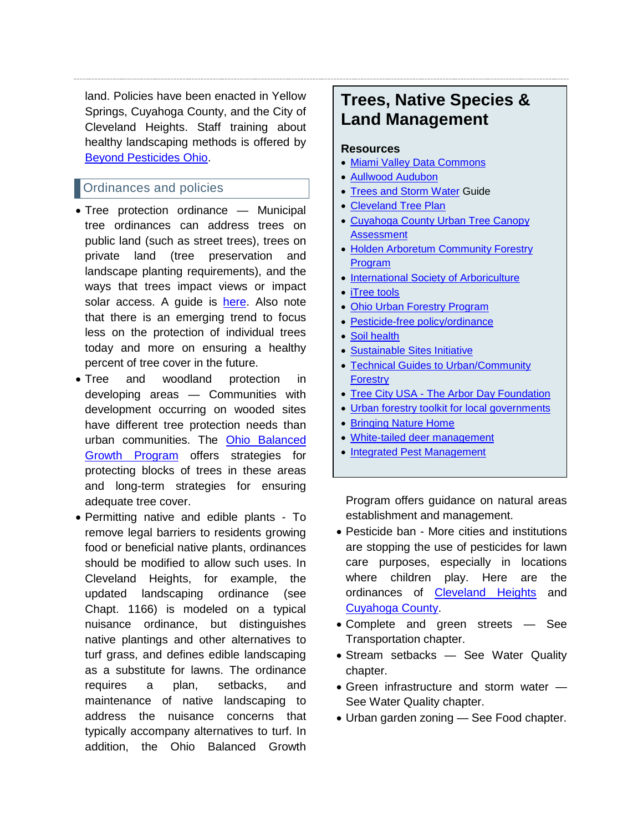land. Policies have been enacted in Yellow Springs, Cuyahoga County, and the City of Cleveland Heights. Staff training about healthy landscaping methods is offered by [Beyond Pesticides Ohio.](http://www.beyondpesticidesohio.org/about.html)

# Ordinances and policies

- Tree protection ordinance Municipal tree ordinances can address trees on public land (such as street trees), trees on private land (tree preservation and landscape planting requirements), and the ways that trees impact views or impact solar access. A quide is [here.](https://www.isa-arbor.com/Online-Learning/onlineResources/treeOrdinanceGuidelines) Also note that there is an emerging trend to focus less on the protection of individual trees today and more on ensuring a healthy percent of tree cover in the future.
- Tree and woodland protection in developing areas — Communities with development occurring on wooded sites have different tree protection needs than urban communities. The [Ohio Balanced](https://balancedgrowth.ohio.gov/)  [Growth Program](https://balancedgrowth.ohio.gov/) offers strategies for protecting blocks of trees in these areas and long-term strategies for ensuring adequate tree cover.
- Permitting native and edible plants To remove legal barriers to residents growing food or beneficial native plants, ordinances should be modified to allow such uses. In Cleveland Heights, for example, the updated landscaping ordinance (see Chapt. 1166) is modeled on a typical nuisance ordinance, but distinguishes native plantings and other alternatives to turf grass, and defines edible landscaping as a substitute for lawns. The ordinance requires a plan, setbacks, and maintenance of native landscaping to address the nuisance concerns that typically accompany alternatives to turf. In addition, the Ohio Balanced Growth

# **Trees, Native Species & Land Management**

#### **Resources**

- [Miami Valley Data Commons](https://www.mvrpc.org/data-mapping/miami-valley-data-commons)
- [Aullwood Audubon](https://aullwood.audubon.org/)
- [Trees and Storm Water](https://www.oki.org/portfolio-items/trees-stormwater/) Guide
- [Cleveland Tree Plan](http://www.city.cleveland.oh.us/node/7714)
- [Cuyahoga County Urban Tree Canopy](https://www.countyplanning.us/projects/urban-tree-canopy-assessment/)  **[Assessment](https://www.countyplanning.us/projects/urban-tree-canopy-assessment/)**
- [Holden Arboretum Community Forestry](http://www.holdenarb.org/community-engagement/community-forestry/)  [Program](http://www.holdenarb.org/community-engagement/community-forestry/)
- [International Society of Arboriculture](http://www.treesaregood.org/)
- [iTree](https://www.itreetools.org/) tools
- [Ohio Urban Forestry Program](http://forestry.ohiodnr.gov/urban)
- [Pesticide-free policy/ordinance](https://www.beyondpesticides.org/assets/media/documents/lawn/documents/ModelPublicPolicy.pdf)
- [Soil health](https://www.nrcs.usda.gov/wps/portal/nrcs/main/soils/health/)
- [Sustainable Sites Initiative](http://www.sustainablesites.org/)
- [Technical Guides to Urban/Community](https://www.fs.usda.gov/naspf/)  **[Forestry](https://www.fs.usda.gov/naspf/)**
- Tree City USA [The Arbor Day Foundation](https://www.arborday.org/programs/treecityusa/index.cfm)
- [Urban forestry toolkit for local governments](http://forestry.ohiodnr.gov/Portals/forestry/pdfs/urban/ICLEI-UrbanForestryToolkit2006.pdf)
- [Bringing Nature Home](http://www.bringingnaturehome.net/)
- [White-tailed deer management](https://www.leapbio.org/content/5-resources/0-white-tailed-deer-management/oh-urban-deer-technical-guide.pdf)
- [Integrated Pest Management](https://www.epa.gov/safepestcontrol/integrated-pest-management-ipm-principles)

Program offers guidance on natural areas establishment and management.

- Pesticide ban More cities and institutions are stopping the use of pesticides for lawn care purposes, especially in locations where children play. Here are the ordinances of [Cleveland Heights](http://www.beyondpesticidesohio.org/uploads/4/5/4/9/454979/cleveland_heights_ordinance.pdf) and [Cuyahoga County.](http://www.beyondpesticidesohio.org/uploads/4/5/4/9/454979/cuyahoga_county_ordinance.pdf)
- Complete and green streets See Transportation chapter.
- Stream setbacks See Water Quality chapter.
- Green infrastructure and storm water See Water Quality chapter.
- Urban garden zoning See Food chapter.